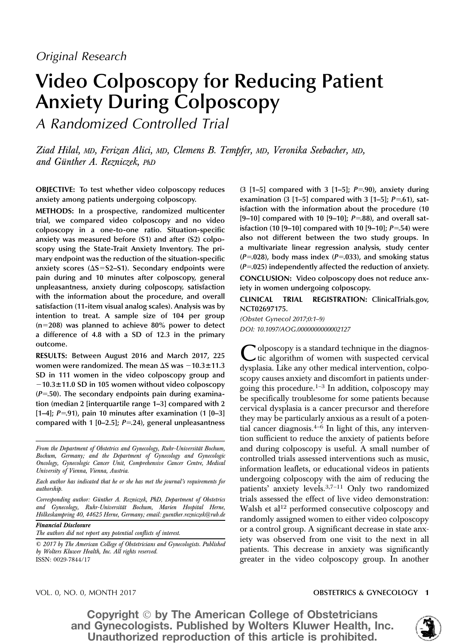# Video Colposcopy for Reducing Patient Anxiety During Colposcopy

A Randomized Controlled Trial

Ziad Hilal, MD, Ferizan Alici, MD, Clemens B. Tempfer, MD, Veronika Seebacher, MD, and Günther A. Rezniczek, PhD

OBJECTIVE: To test whether video colposcopy reduces anxiety among patients undergoing colposcopy.

METHODS: In a prospective, randomized multicenter trial, we compared video colposcopy and no video colposcopy in a one-to-one ratio. Situation-specific anxiety was measured before (S1) and after (S2) colposcopy using the State-Trait Anxiety Inventory. The primary endpoint was the reduction of the situation-specific anxiety scores  $(\Delta S = S2 - S1)$ . Secondary endpoints were pain during and 10 minutes after colposcopy, general unpleasantness, anxiety during colposcopy, satisfaction with the information about the procedure, and overall satisfaction (11-item visual analog scales). Analysis was by intention to treat. A sample size of 104 per group  $(n=208)$  was planned to achieve 80% power to detect a difference of 4.8 with a SD of 12.3 in the primary outcome.

RESULTS: Between August 2016 and March 2017, 225 women were randomized. The mean  $\Delta S$  was  $-10.3\pm11.3$ SD in 111 women in the video colposcopy group and  $-10.3\pm11.0$  SD in 105 women without video colposcopy  $(P=50)$ . The secondary endpoints pain during examination (median 2 [interquartile range 1–3] compared with 2 [1–4];  $P = 91$ ), pain 10 minutes after examination (1 [0–3] compared with 1 [0–2.5];  $P = 24$ ), general unpleasantness

Corresponding author: Günther A. Rezniczek, PhD, Department of Obstetrics and Gynecology, Ruhr-Universität Bochum, Marien Hospital Herne, Hölkeskampring 40, 44625 Herne, Germany; email: guenther.rezniczek@rub.de

Financial Disclosure

The authors did not report any potential conflicts of interest.

© 2017 by The American College of Obstetricians and Gynecologists. Published by Wolters Kluwer Health, Inc. All rights reserved. ISSN: 0029-7844/17

 $(3 [1-5]$  compared with 3  $[1-5]$ ;  $P=.90$ ), anxiety during examination  $(3 [1-5]$  compared with  $3 [1-5]$ ;  $P=.61$ ), satisfaction with the information about the procedure (10 [9-10] compared with 10 [9-10];  $P=.88$ ), and overall satisfaction (10 [9–10] compared with 10 [9–10];  $P = 54$ ) were also not different between the two study groups. In a multivariate linear regression analysis, study center  $(P=.028)$ , body mass index  $(P=.033)$ , and smoking status  $(P=0.025)$  independently affected the reduction of anxiety. CONCLUSION: Video colposcopy does not reduce anxiety in women undergoing colposcopy.

CLINICAL TRIAL REGISTRATION: [ClinicalTrials.gov,](https://clinicaltrials.gov/) NCT02697175.

(Obstet Gynecol 2017;0:1–9) DOI: 10.1097/AOG.0000000000002127

olposcopy is a standard technique in the diagnostic algorithm of women with suspected cervical dysplasia. Like any other medical intervention, colposcopy causes anxiety and discomfort in patients undergoing this procedure.<sup>1–3</sup> In addition, colposcopy may be specifically troublesome for some patients because cervical dysplasia is a cancer precursor and therefore they may be particularly anxious as a result of a potential cancer diagnosis. $4-6$  In light of this, any intervention sufficient to reduce the anxiety of patients before and during colposcopy is useful. A small number of controlled trials assessed interventions such as music, information leaflets, or educational videos in patients undergoing colposcopy with the aim of reducing the patients' anxiety levels.3,7–<sup>11</sup> Only two randomized trials assessed the effect of live video demonstration: Walsh et al<sup>12</sup> performed consecutive colposcopy and randomly assigned women to either video colposcopy or a control group. A significant decrease in state anxiety was observed from one visit to the next in all patients. This decrease in anxiety was significantly greater in the video colposcopy group. In another

### VOL. 0, NO. 0, MONTH 2017 **OBSTETRICS & GYNECOLOGY 1**



From the Department of Obstetrics and Gynecology, Ruhr-Universität Bochum, Bochum, Germany; and the Department of Gynecology and Gynecologic Oncology, Gynecologic Cancer Unit, Comprehensive Cancer Centre, Medical University of Vienna, Vienna, Austria.

Each author has indicated that he or she has met the journal's requirements for authorship.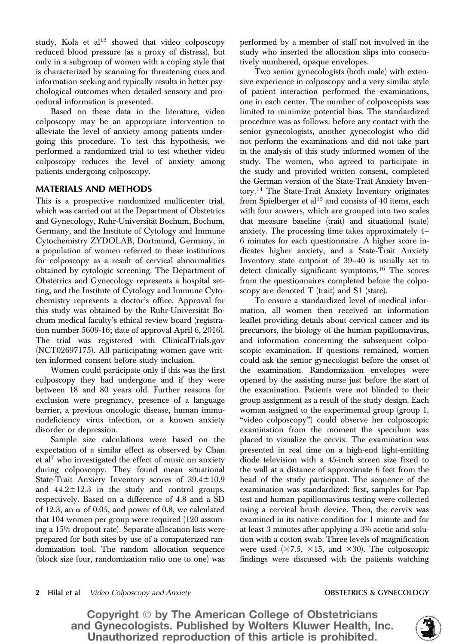study, Kola et al<sup>13</sup> showed that video colposcopy reduced blood pressure (as a proxy of distress), but only in a subgroup of women with a coping style that is characterized by scanning for threatening cues and information-seeking and typically results in better psychological outcomes when detailed sensory and procedural information is presented.

Based on these data in the literature, video colposcopy may be an appropriate intervention to alleviate the level of anxiety among patients undergoing this procedure. To test this hypothesis, we performed a randomized trial to test whether video colposcopy reduces the level of anxiety among patients undergoing colposcopy.

## **MATERIALS AND METHODS**

This is a prospective randomized multicenter trial, which was carried out at the Department of Obstetrics and Gynecology, Ruhr-Universität Bochum, Bochum, Germany, and the Institute of Cytology and Immune Cytochemistry ZYDOLAB, Dortmund, Germany, in a population of women referred to these institutions for colposcopy as a result of cervical abnormalities obtained by cytologic screening. The Department of Obstetrics and Gynecology represents a hospital setting, and the Institute of Cytology and Immune Cytochemistry represents a doctor's office. Approval for this study was obtained by the Ruhr-Universität Bochum medical faculty's ethical review board (registration number 5609-16; date of approval April 6, 2016). The trial was registered with [ClinicalTrials.gov](http://ClinicalTrials.gov) (NCT02697175). All participating women gave written informed consent before study inclusion.

Women could participate only if this was the first colposcopy they had undergone and if they were between 18 and 80 years old. Further reasons for exclusion were pregnancy, presence of a language barrier, a previous oncologic disease, human immunodeficiency virus infection, or a known anxiety disorder or depression.

Sample size calculations were based on the expectation of a similar effect as observed by Chan et al<sup>7</sup> who investigated the effect of music on anxiety during colposcopy. They found mean situational State-Trait Anxiety Inventory scores of  $39.4 \pm 10.9$ and  $44.2 \pm 12.3$  in the study and control groups, respectively. Based on a difference of 4.8 and a SD of 12.3, an  $\alpha$  of 0.05, and power of 0.8, we calculated that 104 women per group were required (120 assuming a 15% dropout rate). Separate allocation lists were prepared for both sites by use of a computerized randomization tool. The random allocation sequence (block size four, randomization ratio one to one) was

performed by a member of staff not involved in the study who inserted the allocation slips into consecutively numbered, opaque envelopes.

Two senior gynecologists (both male) with extensive experience in colposcopy and a very similar style of patient interaction performed the examinations, one in each center. The number of colposcopists was limited to minimize potential bias. The standardized procedure was as follows: before any contact with the senior gynecologists, another gynecologist who did not perform the examinations and did not take part in the analysis of this study informed women of the study. The women, who agreed to participate in the study and provided written consent, completed the German version of the State-Trait Anxiety Inventory.<sup>14</sup> The State-Trait Anxiety Inventory originates from Spielberger et al<sup>15</sup> and consists of 40 items, each with four answers, which are grouped into two scales that measure baseline (trait) and situational (state) anxiety. The processing time takes approximately 4– 6 minutes for each questionnaire. A higher score indicates higher anxiety, and a State-Trait Anxiety Inventory state cutpoint of 39–40 is usually set to detect clinically significant symptoms.<sup>16</sup> The scores from the questionnaires completed before the colposcopy are denoted T (trait) and S1 (state).

To ensure a standardized level of medical information, all women then received an information leaflet providing details about cervical cancer and its precursors, the biology of the human papillomavirus, and information concerning the subsequent colposcopic examination. If questions remained, women could ask the senior gynecologist before the onset of the examination. Randomization envelopes were opened by the assisting nurse just before the start of the examination. Patients were not blinded to their group assignment as a result of the study design. Each woman assigned to the experimental group (group 1, "video colposcopy") could observe her colposcopic examination from the moment the speculum was placed to visualize the cervix. The examination was presented in real time on a high-end light-emitting diode television with a 45-inch screen size fixed to the wall at a distance of approximate 6 feet from the head of the study participant. The sequence of the examination was standardized: first, samples for Pap test and human papillomavirus testing were collected using a cervical brush device. Then, the cervix was examined in its native condition for 1 minute and for at least 3 minutes after applying a 3% acetic acid solution with a cotton swab. Three levels of magnification were used  $(\times 7.5, \times 15, \text{ and } \times 30)$ . The colposcopic findings were discussed with the patients watching



<sup>2</sup> Hilal et al *Video Colposcopy and Anxiety* **OBSTETRICS & GYNECOLOGY OBSTETRICS & GYNECOLOGY**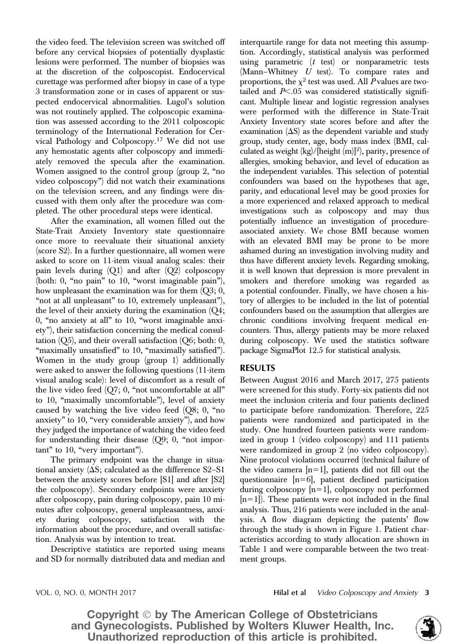the video feed. The television screen was switched off before any cervical biopsies of potentially dysplastic lesions were performed. The number of biopsies was at the discretion of the colposcopist. Endocervical curettage was performed after biopsy in case of a type 3 transformation zone or in cases of apparent or suspected endocervical abnormalities. Lugol's solution was not routinely applied. The colposcopic examination was assessed according to the 2011 colposcopic terminology of the International Federation for Cervical Pathology and Colposcopy.<sup>17</sup> We did not use any hemostatic agents after colposcopy and immediately removed the specula after the examination. Women assigned to the control group (group 2, "no video colposcopy") did not watch their examinations on the television screen, and any findings were discussed with them only after the procedure was completed. The other procedural steps were identical.

After the examination, all women filled out the State-Trait Anxiety Inventory state questionnaire once more to reevaluate their situational anxiety (score S2). In a further questionnaire, all women were asked to score on 11-item visual analog scales: their pain levels during  $(Q1)$  and after  $(Q2)$  colposcopy (both: 0, "no pain" to 10, "worst imaginable pain"), how unpleasant the examination was for them  $(Q3; 0, 0)$ "not at all unpleasant" to 10, extremely unpleasant"), the level of their anxiety during the examination  $(Q_4;$ 0, "no anxiety at all" to 10, "worst imaginable anxiety"), their satisfaction concerning the medical consultation  $(Q5)$ , and their overall satisfaction  $(Q6; \text{both: } 0,$ "maximally unsatisfied" to 10, "maximally satisfied"). Women in the study group (group 1) additionally were asked to answer the following questions (11-item visual analog scale): level of discomfort as a result of the live video feed (Q7; 0, "not uncomfortable at all" to 10, "maximally uncomfortable"), level of anxiety caused by watching the live video feed (Q8; 0, "no anxiety" to 10, "very considerable anxiety"), and how they judged the importance of watching the video feed for understanding their disease (Q9; 0, "not important" to 10, "very important").

The primary endpoint was the change in situational anxiety  $(\Delta S;$  calculated as the difference S2–S1 between the anxiety scores before [S1] and after [S2] the colposcopy). Secondary endpoints were anxiety after colposcopy, pain during colposcopy, pain 10 minutes after colposcopy, general unpleasantness, anxiety during colposcopy, satisfaction with the information about the procedure, and overall satisfaction. Analysis was by intention to treat.

Descriptive statistics are reported using means and SD for normally distributed data and median and interquartile range for data not meeting this assumption. Accordingly, statistical analysis was performed using parametric  $(t$  test) or nonparametric tests (Mann–Whitney U test). To compare rates and proportions, the  $\chi^2$  test was used. All P values are twotailed and  $P<.05$  was considered statistically significant. Multiple linear and logistic regression analyses were performed with the difference in State-Trait Anxiety Inventory state scores before and after the examination  $(\Delta S)$  as the dependent variable and study group, study center, age, body mass index (BMI, calculated as weight  $(kg)/[height (m)]<sup>2</sup>$ ), parity, presence of allergies, smoking behavior, and level of education as the independent variables. This selection of potential confounders was based on the hypotheses that age, parity, and educational level may be good proxies for a more experienced and relaxed approach to medical investigations such as colposcopy and may thus potentially influence an investigation of procedureassociated anxiety. We chose BMI because women with an elevated BMI may be prone to be more ashamed during an investigation involving nudity and thus have different anxiety levels. Regarding smoking, it is well known that depression is more prevalent in smokers and therefore smoking was regarded as a potential confounder. Finally, we have chosen a history of allergies to be included in the list of potential confounders based on the assumption that allergies are chronic conditions involving frequent medical encounters. Thus, allergy patients may be more relaxed during colposcopy. We used the statistics software package SigmaPlot 12.5 for statistical analysis.

# **RESULTS**

Between August 2016 and March 2017, 275 patients were screened for this study. Forty-six patients did not meet the inclusion criteria and four patients declined to participate before randomization. Therefore, 225 patients were randomized and participated in the study. One hundred fourteen patients were randomized in group 1 (video colposcopy) and 111 patients were randomized in group 2 (no video colposcopy). Nine protocol violations occurred (technical failure of the video camera  $[n=1]$ , patients did not fill out the questionnaire  $[n=6]$ , patient declined participation during colposcopy  $[n=1]$ , colposcopy not performed  $[n=1]$ ). These patients were not included in the final analysis. Thus, 216 patients were included in the analysis. A flow diagram depicting the patents' flow through the study is shown in Figure 1. Patient characteristics according to study allocation are shown in Table 1 and were comparable between the two treatment groups.

VOL. 0, NO. 0, MONTH 2017 **Hilal et al** Video Colposcopy and Anxiety 3

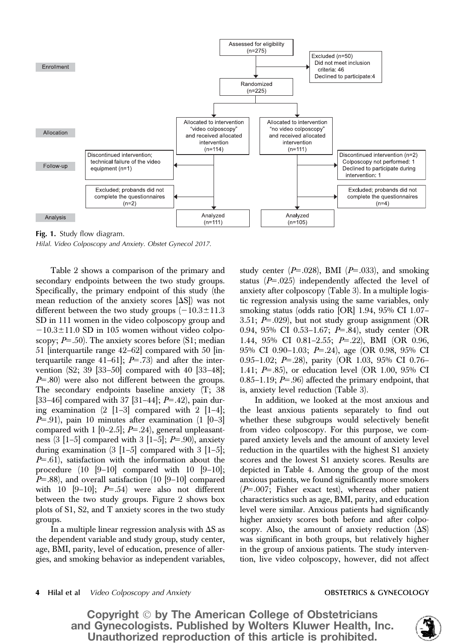

Fig. 1. Study flow diagram. Hilal. Video Colposcopy and Anxiety. Obstet Gynecol 2017.

Table 2 shows a comparison of the primary and secondary endpoints between the two study groups. Specifically, the primary endpoint of this study (the mean reduction of the anxiety scores  $[\Delta S]$  was not different between the two study groups  $(-10.3 \pm 11.3$ SD in 111 women in the video colposcopy group and  $-10.3\pm11.0$  SD in 105 women without video colposcopy;  $P=.50$ . The anxiety scores before (S1; median 51 [interquartile range 42–62] compared with 50 [interquartile range 41–61];  $P=.73$  and after the intervention (S2; 39 [33–50] compared with 40 [33–48];  $P=80$ ) were also not different between the groups. The secondary endpoints baseline anxiety (T; 38 [33-46] compared with 37 [31-44];  $P=$  42), pain during examination  $(2 \t[1-3]$  compared with  $2 \t[1-4]$ ;  $P=0.91$ , pain 10 minutes after examination (1 [0–3] compared with 1 [0–2.5];  $P=$  24), general unpleasantness  $(3 \mid 1-5]$  compared with  $3 \mid 1-5$ ;  $P=.90$ , anxiety during examination  $(3 \mid 1-5]$  compared with  $3 \mid 1-5]$ ;  $P=61$ ), satisfaction with the information about the procedure  $(10 \quad 9-10)$  compared with  $10 \quad 9-10$ ;  $P=88$ ), and overall satisfaction (10 [9–10] compared with 10  $[9-10]$ ;  $P=.54$ ) were also not different between the two study groups. Figure 2 shows box plots of S1, S2, and T anxiety scores in the two study groups.

In a multiple linear regression analysis with  $\Delta S$  as the dependent variable and study group, study center, age, BMI, parity, level of education, presence of allergies, and smoking behavior as independent variables, study center  $(P=.028)$ , BMI  $(P=.033)$ , and smoking status  $(P=.025)$  independently affected the level of anxiety after colposcopy (Table 3). In a multiple logistic regression analysis using the same variables, only smoking status (odds ratio [OR] 1.94, 95% CI 1.07– 3.51;  $P=0.029$ ), but not study group assignment (OR 0.94, 95% CI 0.53-1.67;  $P=.84$ ), study center (OR 1.44, 95% CI 0.81-2.55;  $P = .22$ ), BMI (OR 0.96, 95% CI 0.90–1.03; P=.24), age (OR 0.98, 95% CI 0.95–1.02;  $P=$  28), parity (OR 1.03, 95% CI 0.76– 1.41;  $P=.85$ ), or education level (OR 1.00, 95% CI  $0.85-1.19$ ;  $P=.96$ ) affected the primary endpoint, that is, anxiety level reduction (Table 3).

In addition, we looked at the most anxious and the least anxious patients separately to find out whether these subgroups would selectively benefit from video colposcopy. For this purpose, we compared anxiety levels and the amount of anxiety level reduction in the quartiles with the highest S1 anxiety scores and the lowest S1 anxiety scores. Results are depicted in Table 4. Among the group of the most anxious patients, we found significantly more smokers  $(P=.007;$  Fisher exact test), whereas other patient characteristics such as age, BMI, parity, and education level were similar. Anxious patients had significantly higher anxiety scores both before and after colposcopy. Also, the amount of anxiety reduction  $(\Delta S)$ was significant in both groups, but relatively higher in the group of anxious patients. The study intervention, live video colposcopy, however, did not affect

### 4 Hilal et al *Video Colposcopy and Anxiety* **OBSTETRICS & GYNECOLOGY OBSTETRICS & GYNECOLOGY**

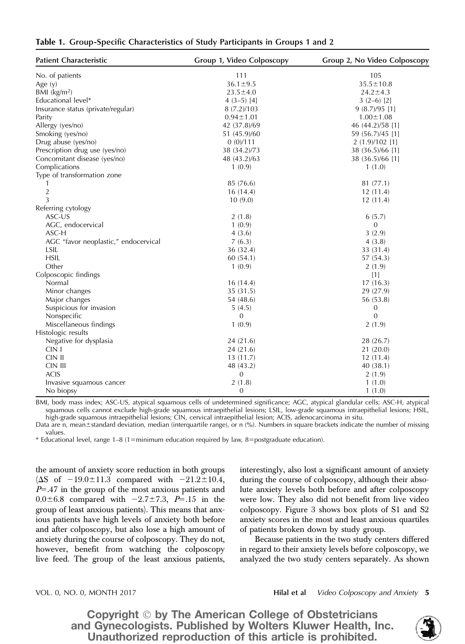| Table 1. Group-Specific Characteristics of Study Participants in Groups 1 and 2 |  |  |  |
|---------------------------------------------------------------------------------|--|--|--|
|                                                                                 |  |  |  |

| <b>Patient Characteristic</b>        | Group 1, Video Colposcopy | Group 2, No Video Colposcopy |  |
|--------------------------------------|---------------------------|------------------------------|--|
| No. of patients                      | 111                       | 105                          |  |
| Age (y)                              | $36.1 \pm 9.5$            | $35.5 \pm 10.8$              |  |
| BMI $(kg/m2)$                        | $23.5 \pm 4.0$            | $24.2 \pm 4.3$               |  |
| Educational level*                   | $4(3-5)$ [4]              | $3(2-6)$ [2]                 |  |
| Insurance status (private/regular)   | 8(7.2)/103                | 9(8.7)/95[1]                 |  |
| Parity                               | $0.94 \pm 1.01$           | $1.00 \pm 1.08$              |  |
| Allergy (yes/no)                     | 42 (37.8)/69              | 46 (44.2)/58 [1]             |  |
| Smoking (yes/no)                     | 51 (45.9)/60              | 59 (56.7)/45 [1]             |  |
| Drug abuse (yes/no)                  | 0(0)/111                  | $2(1.9)/102$ [1]             |  |
| Prescription drug use (yes/no)       | 38 (34.2)/73              | 38 (36.5)/66 [1]             |  |
| Concomitant disease (yes/no)         | 48 (43.2)/63              | 38 (36.5)/66 [1]             |  |
| Complications                        | 1(0.9)                    | 1(1.0)                       |  |
| Type of transformation zone          |                           |                              |  |
|                                      | 85 (76.6)                 | 81(77.1)                     |  |
| $\overline{2}$                       | 16(14.4)                  | 12(11.4)                     |  |
| 3                                    | 10(9.0)                   | 12(11.4)                     |  |
| Referring cytology                   |                           |                              |  |
| ASC-US                               | 2(1.8)                    | 6(5.7)                       |  |
| AGC, endocervical                    | 1(0.9)                    | 0                            |  |
| ASC-H                                | 4(3.6)                    | 3(2.9)                       |  |
| AGC "favor neoplastic," endocervical | 7(6.3)                    | 4(3.8)                       |  |
| LSIL                                 | 36 (32.4)                 | 33 (31.4)                    |  |
| <b>HSIL</b>                          | 60(54.1)                  | 57 (54.3)                    |  |
| Other                                | 1(0.9)                    | 2(1.9)                       |  |
| Colposcopic findings                 |                           | $[1]$                        |  |
| Normal                               | 16(14.4)                  | 17(16.3)                     |  |
| Minor changes                        | 35 (31.5)                 | 29 (27.9)                    |  |
| Major changes                        | 54 (48.6)                 | 56 (53.8)                    |  |
| Suspicious for invasion              | 5(4.5)                    | 0                            |  |
| Nonspecific                          | $\mathbf{0}$              | $\mathbf{0}$                 |  |
| Miscellaneous findings               | 1(0.9)                    | 2(1.9)                       |  |
| Histologic results                   |                           |                              |  |
| Negative for dysplasia               | 24(21.6)                  | 28 (26.7)                    |  |
| CIN I                                | 24(21.6)                  | 21(20.0)                     |  |
| CIN II                               | 13(11.7)                  | 12(11.4)                     |  |
| CIN III                              | 48 (43.2)                 | 40(38.1)                     |  |
| <b>ACIS</b>                          | $\mathbf{0}$              | 2(1.9)                       |  |
| Invasive squamous cancer             | 2(1.8)                    | 1(1.0)                       |  |
| No biopsy                            | 0                         | 1(1.0)                       |  |

BMI, body mass index; ASC-US, atypical squamous cells of undetermined significance; AGC, atypical glandular cells; ASC-H, atypical squamous cells cannot exclude high-grade squamous intraepithelial lesions; LSIL, low-grade squamous intraepithelial lesions; HSIL, high-grade squamous intraepithelial lesions; CIN, cervical intraepithelial lesion; ACIS, adenocarcinoma in situ.

Data are n, mean±standard deviation, median (interquartile range), or n (%). Numbers in square brackets indicate the number of missing values.

 $*$  Educational level, range 1–8 (1=minimum education required by law, 8=postgraduate education).

the amount of anxiety score reduction in both groups ( $\Delta S$  of  $-19.0 \pm 11.3$  compared with  $-21.2 \pm 10.4$ ,  $P=0.47$  in the group of the most anxious patients and  $0.0 \pm 6.8$  compared with  $-2.7 \pm 7.3$ , P=.15 in the group of least anxious patients). This means that anxious patients have high levels of anxiety both before and after colposcopy, but also lose a high amount of anxiety during the course of colposcopy. They do not, however, benefit from watching the colposcopy live feed. The group of the least anxious patients, interestingly, also lost a significant amount of anxiety during the course of colposcopy, although their absolute anxiety levels both before and after colposcopy were low. They also did not benefit from live video colposcopy. Figure 3 shows box plots of S1 and S2 anxiety scores in the most and least anxious quartiles of patients broken down by study group.

Because patients in the two study centers differed in regard to their anxiety levels before colposcopy, we analyzed the two study centers separately. As shown

VOL. 0, NO. 0, MONTH 2017 **Hilal et al** Video Colposcopy and Anxiety 5

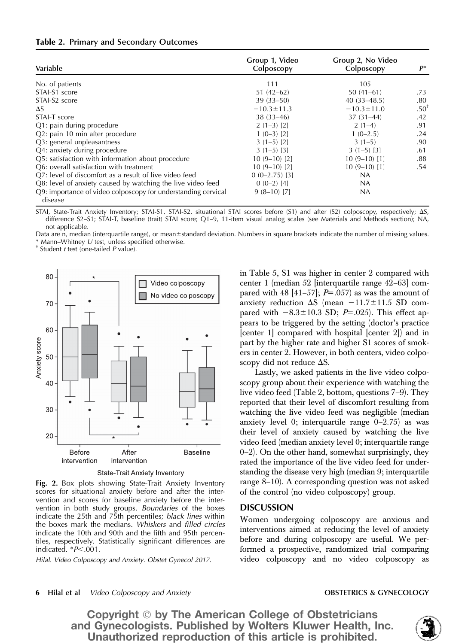|  | Table 2. Primary and Secondary Outcomes |  |
|--|-----------------------------------------|--|
|  |                                         |  |

| Variable                                                                 | Group 1, Video<br>Colposcopy | Group 2, No Video<br>Colposcopy | $P^*$            |
|--------------------------------------------------------------------------|------------------------------|---------------------------------|------------------|
| No. of patients                                                          | 111                          | 105                             |                  |
| STAI-S1 score                                                            | $51(42-62)$                  | $50(41-61)$                     | .73              |
| STAI-S2 score                                                            | $39(33 - 50)$                | $40(33 - 48.5)$                 | .80              |
| $\Delta S$                                                               | $-10.3 \pm 11.3$             | $-10.3 \pm 11.0$                | .50 <sup>1</sup> |
| STAI-T score                                                             | $38(33 - 46)$                | $37(31-44)$                     | .42              |
| Q1: pain during procedure                                                | $2(1-3)$ [2]                 | $2(1-4)$                        | .91              |
| Q2: pain 10 min after procedure                                          | $1(0-3)$ [2]                 | $1(0-2.5)$                      | .24              |
| Q3: general unpleasantness                                               | $3(1-5)$ [2]                 | $3(1-5)$                        | .90              |
| Q4: anxiety during procedure                                             | $3(1-5)$ [3]                 | $3(1-5)$ [3]                    | .61              |
| Q5: satisfaction with information about procedure                        | $10(9-10)[2]$                | $10(9-10)$ [1]                  | .88              |
| O6: overall satisfaction with treatment                                  | $10(9-10)[2]$                | $10(9-10)[1]$                   | .54              |
| Q7: level of discomfort as a result of live video feed                   | $0(0-2.75)$ [3]              | <b>NA</b>                       |                  |
| Q8: level of anxiety caused by watching the live video feed              | $0(0-2)$ [4]                 | NA.                             |                  |
| Q9: importance of video colposcopy for understanding cervical<br>disease | $9(8-10)$ [7]                | NA                              |                  |

STAI, State-Trait Anxiety Inventory; STAI-S1, STAI-S2, situational STAI scores before (S1) and after (S2) colposcopy, respectively;  $\Delta S$ , difference S2–S1; STAI-T, baseline (trait) STAI score; Q1–9, 11-item visual analog scales (see Materials and Methods section); NA, not applicable.

Data are n, median (interquartile range), or mean±standard deviation. Numbers in square brackets indicate the number of missing values. \* Mann–Whitney  $U$  test, unless specified otherwise.<br>† Student t test (one-tailed  $P$  value).





Fig. 2. Box plots showing State-Trait Anxiety Inventory scores for situational anxiety before and after the intervention and scores for baseline anxiety before the intervention in both study groups. Boundaries of the boxes indicate the 25th and 75th percentiles; black lines within the boxes mark the medians. Whiskers and filled circles indicate the 10th and 90th and the fifth and 95th percentiles, respectively. Statistically significant differences are indicated.  $*P<.001$ .

Hilal. Video Colposcopy and Anxiety. Obstet Gynecol 2017.

in Table 5, S1 was higher in center 2 compared with center 1 (median 52 [interquartile range 42–63] compared with 48 [41–57];  $P=.057$  as was the amount of anxiety reduction  $\Delta S$  (mean  $-11.7\pm11.5$  SD compared with  $-8.3 \pm 10.3$  SD; P=.025). This effect appears to be triggered by the setting (doctor's practice [center 1] compared with hospital [center 2]) and in part by the higher rate and higher S1 scores of smokers in center 2. However, in both centers, video colposcopy did not reduce  $\Delta S$ .

Lastly, we asked patients in the live video colposcopy group about their experience with watching the live video feed (Table 2, bottom, questions 7–9). They reported that their level of discomfort resulting from watching the live video feed was negligible (median anxiety level 0; interquartile range 0–2.75) as was their level of anxiety caused by watching the live video feed (median anxiety level 0; interquartile range 0–2). On the other hand, somewhat surprisingly, they rated the importance of the live video feed for understanding the disease very high (median 9; interquartile range 8–10). A corresponding question was not asked of the control (no video colposcopy) group.

# **DISCUSSION**

Women undergoing colposcopy are anxious and interventions aimed at reducing the level of anxiety before and during colposcopy are useful. We performed a prospective, randomized trial comparing video colposcopy and no video colposcopy as

6 Hilal et al *Video Colposcopy and Anxiety* **Call Anxiety** OBSTETRICS & GYNECOLOGY

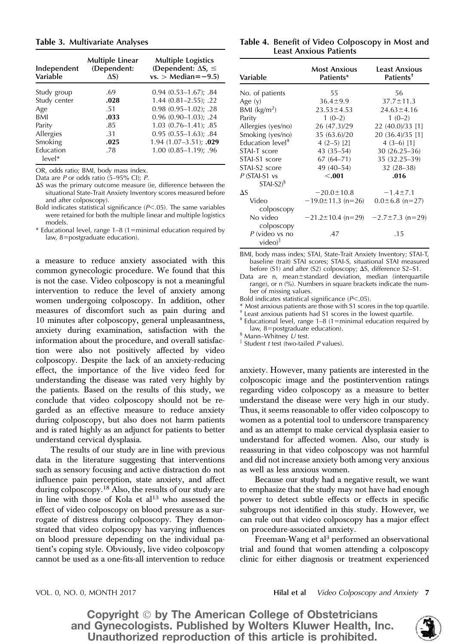### Table 3. Multivariate Analyses

| Independent<br>Variable | <b>Multiple Linear</b><br>(Dependent:<br>$\Delta S$ | <b>Multiple Logistics</b><br>(Dependent: $\Delta S$ , $\leq$<br>$vs. > Median = -9.5$ |
|-------------------------|-----------------------------------------------------|---------------------------------------------------------------------------------------|
| Study group             | .69                                                 | $0.94$ $(0.53 - 1.67)$ ; .84                                                          |
| Study center            | .028                                                | $1.44(0.81 - 2.55); .22$                                                              |
| Age                     | .51                                                 | $0.98$ $(0.95-1.02)$ ; .28                                                            |
| <b>BMI</b>              | .033                                                | $0.96$ (0.90-1.03); .24                                                               |
| Parity                  | .85                                                 | $1.03$ $(0.76 - 1.41)$ ; .85                                                          |
| Allergies               | .31                                                 | $0.95(0.55-1.63); .84$                                                                |
| Smoking                 | .025                                                | $1.94(1.07-3.51); .029$                                                               |
| Education               | .78                                                 | $1.00(0.85 - 1.19)$ ; .96                                                             |
| $level*$                |                                                     |                                                                                       |

OR, odds ratio; BMI, body mass index.

Data are P or odds ratio (5–95% CI); P.

 $\Delta S$  was the primary outcome measure (ie, difference between the situational State-Trait Anxiety Inventory scores measured before and after colposcopy).

Bold indicates statistical significance  $(P<.05)$ . The same variables were retained for both the multiple linear and multiple logistics models.

 $*$  Educational level, range 1–8 (1=minimal education required by law, 8=postgraduate education).

a measure to reduce anxiety associated with this common gynecologic procedure. We found that this is not the case. Video colposcopy is not a meaningful intervention to reduce the level of anxiety among women undergoing colposcopy. In addition, other measures of discomfort such as pain during and 10 minutes after colposcopy, general unpleasantness, anxiety during examination, satisfaction with the information about the procedure, and overall satisfaction were also not positively affected by video colposcopy. Despite the lack of an anxiety-reducing effect, the importance of the live video feed for understanding the disease was rated very highly by the patients. Based on the results of this study, we conclude that video colposcopy should not be regarded as an effective measure to reduce anxiety during colposcopy, but also does not harm patients and is rated highly as an adjunct for patients to better understand cervical dysplasia.

The results of our study are in line with previous data in the literature suggesting that interventions such as sensory focusing and active distraction do not influence pain perception, state anxiety, and affect during colposcopy.<sup>18</sup> Also, the results of our study are in line with those of Kola et  $al^{13}$  who assessed the effect of video colposcopy on blood pressure as a surrogate of distress during colposcopy. They demonstrated that video colposcopy has varying influences on blood pressure depending on the individual patient's coping style. Obviously, live video colposcopy cannot be used as a one-fits-all intervention to reduce

| Table 4. Benefit of Video Colposcopy in Most and |
|--------------------------------------------------|
| Least Anxious Patients                           |

| Variable                     | <b>Most Anxious</b><br>Patients*              | <b>Least Anxious</b><br>Patients <sup>†</sup> |  |
|------------------------------|-----------------------------------------------|-----------------------------------------------|--|
| No. of patients              | 55                                            | 56                                            |  |
| Age $(y)$                    | $36.4 \pm 9.9$                                | $37.7 \pm 11.3$                               |  |
| $BMl$ (kg/m <sup>2</sup> )   | $23.53 \pm 4.53$                              | $24.63 \pm 4.16$                              |  |
| Parity                       | $1(0-2)$                                      | $1(0-2)$                                      |  |
| Allergies (yes/no)           | 26 (47.3)/29                                  | 22 (40.0)/33 [1]                              |  |
| Smoking (yes/no)             | 35 (63.6)/20                                  | 20 (36.4)/35 [1]                              |  |
| Education level <sup>#</sup> | $4(2-5)$ [2]                                  | $4(3-6)$ [1]                                  |  |
| STAI-T score                 | $43(35-54)$                                   | $30(26.25-36)$                                |  |
| STAI-S1 score                | $67(64 - 71)$                                 | 35 (32.25-39)                                 |  |
| STAI-S2 score                | 49 (40-54)                                    | $32(28-38)$                                   |  |
| $P$ (STAI-S1 $vs$            | < .001                                        | .016                                          |  |
| $STAI-S2$ <sup>§</sup>       |                                               |                                               |  |
| $\Delta S$                   | $-20.0 \pm 10.8$                              | $-1.4 \pm 7.1$                                |  |
| Video                        | $-19.0 \pm 11.3$ (n=26)                       | $0.0 \pm 6.8$ (n=27)                          |  |
| colposcopy                   |                                               |                                               |  |
| No video                     | $-21.2 \pm 10.4$ (n=29) $-2.7 \pm 7.3$ (n=29) |                                               |  |
| colposcopy                   |                                               |                                               |  |
| $P$ (video vs no             | .47                                           | .15                                           |  |
| $video)$ <sup>  </sup>       |                                               |                                               |  |

BMI, body mass index; STAI, State-Trait Anxiety Inventory; STAI-T, baseline (trait) STAI scores; STAI-S, situational STAI measured before  $(S1)$  and after  $(S2)$  colposcopy;  $\Delta S$ , difference  $S2-S1$ .

Data are n, mean $\pm$ standard deviation, median (interquartile range), or n (%). Numbers in square brackets indicate the number of missing values.

Bold indicates statistical significance  $(P<.05)$ .

\* Most anxious patients are those with S1 scores in the top quartile.

† Least anxious patients had S1 scores in the lowest quartile.

 $\ddagger$  Educational level, range 1–8 (1=minimal education required by law, 8=postgraduate education).

 $\frac{1}{5}$  Mann–Whitney U test.

<sup>Il</sup> Student t test (two-tailed P values).

anxiety. However, many patients are interested in the colposcopic image and the postintervention ratings regarding video colposcopy as a measure to better understand the disease were very high in our study. Thus, it seems reasonable to offer video colposcopy to women as a potential tool to underscore transparency and as an attempt to make cervical dysplasia easier to understand for affected women. Also, our study is reassuring in that video colposcopy was not harmful and did not increase anxiety both among very anxious as well as less anxious women.

Because our study had a negative result, we want to emphasize that the study may not have had enough power to detect subtle effects or effects in specific subgroups not identified in this study. However, we can rule out that video colposcopy has a major effect on procedure-associated anxiety.

Freeman-Wang et al<sup>3</sup> performed an observational trial and found that women attending a colposcopy clinic for either diagnosis or treatment experienced

VOL. 0, NO. 0, MONTH 2017 **Hilal et al** Video Colposcopy and Anxiety 7

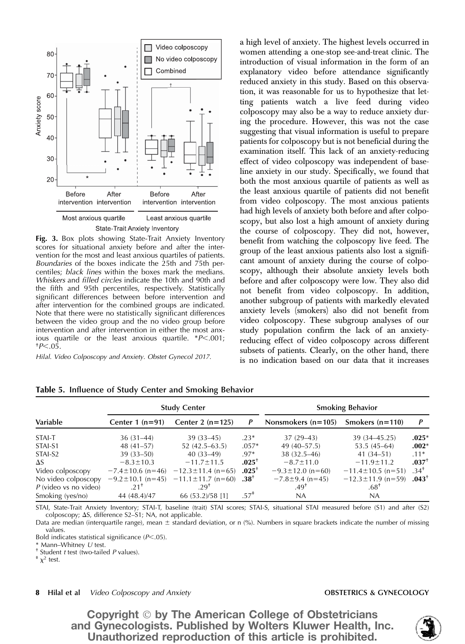

Fig. 3. Box plots showing State-Trait Anxiety Inventory scores for situational anxiety before and after the intervention for the most and least anxious quartiles of patients. Boundaries of the boxes indicate the 25th and 75th percentiles; black lines within the boxes mark the medians. Whiskers and filled circles indicate the 10th and 90th and the fifth and 95th percentiles, respectively. Statistically significant differences between before intervention and after intervention for the combined groups are indicated. Note that there were no statistically significant differences between the video group and the no video group before intervention and after intervention in either the most anxious quartile or the least anxious quartile.  $*P<.001$ ;  $+P<.05$ .

Hilal. Video Colposcopy and Anxiety. Obstet Gynecol 2017.

a high level of anxiety. The highest levels occurred in women attending a one-stop see-and-treat clinic. The introduction of visual information in the form of an explanatory video before attendance significantly reduced anxiety in this study. Based on this observation, it was reasonable for us to hypothesize that letting patients watch a live feed during video colposcopy may also be a way to reduce anxiety during the procedure. However, this was not the case suggesting that visual information is useful to prepare patients for colposcopy but is not beneficial during the examination itself. This lack of an anxiety-reducing effect of video colposcopy was independent of baseline anxiety in our study. Specifically, we found that both the most anxious quartile of patients as well as the least anxious quartile of patients did not benefit from video colposcopy. The most anxious patients had high levels of anxiety both before and after colposcopy, but also lost a high amount of anxiety during the course of colposcopy. They did not, however, benefit from watching the colposcopy live feed. The group of the least anxious patients also lost a significant amount of anxiety during the course of colposcopy, although their absolute anxiety levels both before and after colposcopy were low. They also did not benefit from video colposcopy. In addition, another subgroup of patients with markedly elevated anxiety levels (smokers) also did not benefit from video colposcopy. These subgroup analyses of our study population confirm the lack of an anxietyreducing effect of video colposcopy across different subsets of patients. Clearly, on the other hand, there is no indication based on our data that it increases

|                         | <b>Study Center</b>    |                         |          | <b>Smoking Behavior</b> |                         |           |
|-------------------------|------------------------|-------------------------|----------|-------------------------|-------------------------|-----------|
| Variable                | Center $1(n=91)$       | Center 2 $(n=125)$      | P        | Nonsmokers $(n=105)$    | Smokers $(n=110)$       | P         |
| STAI-T                  | $36(31-44)$            | $39(33 - 45)$           | $.23*$   | $37(29-43)$             | 39 (34 - 45.25)         | $.025*$   |
| STAI-S1                 | $48(41-57)$            | $52(42.5-63.5)$         | $.057*$  | $49(40 - 57.5)$         | $53.5(45-64)$           | $.002*$   |
| STAI-S2                 | $39(33 - 50)$          | $40(33-49)$             | $.97*$   | 38 (32.5-46)            | $41(34 - 51)$           | $.11*$    |
| $\Delta S$              | $-8.3 \pm 10.3$        | $-11.7 \pm 11.5$        | $.025^+$ | $-8.7 \pm 11.0$         | $-11.9 \pm 11.2$        | $.037+$   |
| Video colposcopy        | $-7.4 \pm 10.6$ (n=46) | $-12.3 \pm 11.4$ (n=65) | $.025^+$ | $-9.3 \pm 12.0$ (n=60)  | $-11.4 \pm 10.5$ (n=51) | $.34^{+}$ |
| No video colposcopy     | $-9.2 \pm 10.1$ (n=45) | $-11.1 \pm 11.7$ (n=60) | $.38+$   | $-7.8 \pm 9.4$ (n=45)   | $-12.3 \pm 11.9$ (n=59) | $.043+$   |
| $P$ (video vs no video) | $21^{\dagger}$         | 29 <sup>†</sup>         |          | $.49^{\dagger}$         | $.68^{\dagger}$         |           |
| Smoking (yes/no)        | 44 (48.4)/47           | 66 (53.2)/58 [1]        | $.57^*$  | NA.                     | NA.                     |           |

Table 5. Influence of Study Center and Smoking Behavior

STAI, State-Trait Anxiety Inventory; STAI-T, baseline (trait) STAI scores; STAI-S, situational STAI measured before (S1) and after (S2) colposcopy;  $\Delta S$ , difference S2–S1; NA, not applicable.

Data are median (interquartile range), mean  $\pm$  standard deviation, or n (%). Numbers in square brackets indicate the number of missing values.

Bold indicates statistical significance  $(P<.05)$ .

\* Mann–Whitney U test.<br>† Student t test (two-tailed P values).<br>†  $\chi^2$  test.

### 8 Hilal et al Video Colposcopy and Anxiety **OBSTETRICS & GYNECOLOGY OBSTETRICS & GYNECOLOGY**